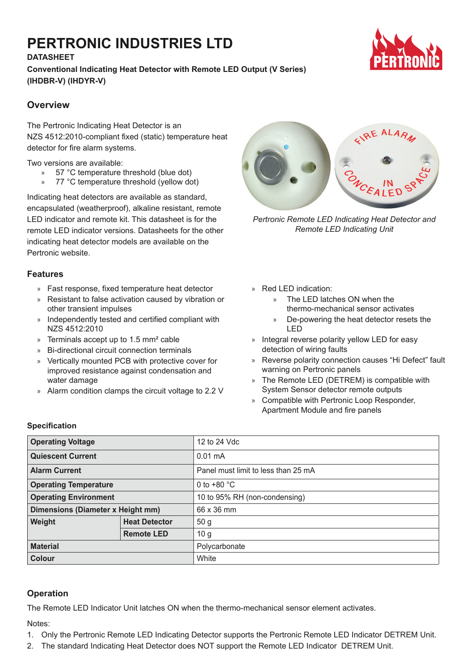# **PERTRONIC INDUSTRIES LTD**

## **DATASHEET**

**Conventional Indicating Heat Detector with Remote LED Output (V Series) (IHDBR-V) (IHDYR-V)**



## **Overview**

The Pertronic Indicating Heat Detector is an NZS 4512:2010-compliant fixed (static) temperature heat detector for fire alarm systems.

Two versions are available:

- » 57 °C temperature threshold (blue dot)
- » 77 °C temperature threshold (yellow dot)

Indicating heat detectors are available as standard, encapsulated (weatherproof), alkaline resistant, remote LED indicator and remote kit. This datasheet is for the remote LED indicator versions. Datasheets for the other indicating heat detector models are available on the Pertronic website.

### **Features**

- » Fast response, fixed temperature heat detector
- » Resistant to false activation caused by vibration or other transient impulses
- » Independently tested and certified compliant with NZS 4512:2010
- » Terminals accept up to 1.5 mm² cable
- » Bi-directional circuit connection terminals
- » Vertically mounted PCB with protective cover for improved resistance against condensation and water damage
- » Alarm condition clamps the circuit voltage to 2.2 V



*Pertronic Remote LED Indicating Heat Detector and Remote LED Indicating Unit*

- » Red LED indication:
	- » The LED latches ON when the thermo-mechanical sensor activates
	- » De-powering the heat detector resets the LED
- » Integral reverse polarity yellow LED for easy detection of wiring faults
- » Reverse polarity connection causes "Hi Defect" fault warning on Pertronic panels
- » The Remote LED (DETREM) is compatible with System Sensor detector remote outputs
- » Compatible with Pertronic Loop Responder, Apartment Module and fire panels

### **Specification**

| <b>Operating Voltage</b>          |                      | 12 to 24 Vdc                        |
|-----------------------------------|----------------------|-------------------------------------|
| <b>Quiescent Current</b>          |                      | $0.01 \text{ mA}$                   |
| <b>Alarm Current</b>              |                      | Panel must limit to less than 25 mA |
| <b>Operating Temperature</b>      |                      | 0 to $+80$ °C                       |
| <b>Operating Environment</b>      |                      | 10 to 95% RH (non-condensing)       |
| Dimensions (Diameter x Height mm) |                      | 66 x 36 mm                          |
| Weight                            | <b>Heat Detector</b> | 50 <sub>g</sub>                     |
|                                   | <b>Remote LED</b>    | 10 <sub>g</sub>                     |
| <b>Material</b>                   |                      | Polycarbonate                       |
| <b>Colour</b>                     |                      | White                               |

## **Operation**

The Remote LED Indicator Unit latches ON when the thermo-mechanical sensor element activates.

Notes:

- 1. Only the Pertronic Remote LED Indicating Detector supports the Pertronic Remote LED Indicator DETREM Unit.
- 2. The standard Indicating Heat Detector does NOT support the Remote LED Indicator DETREM Unit.